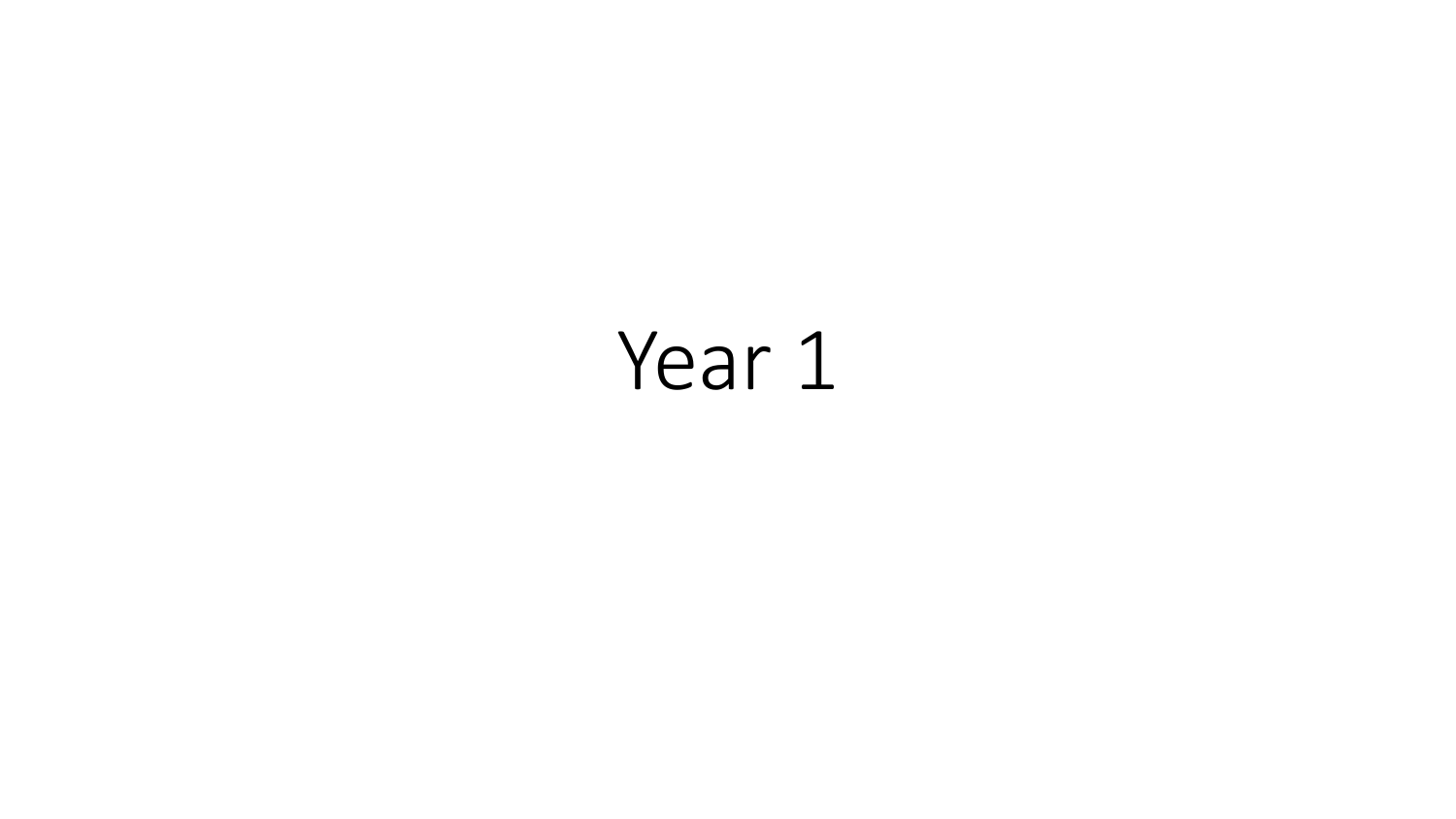# Year 1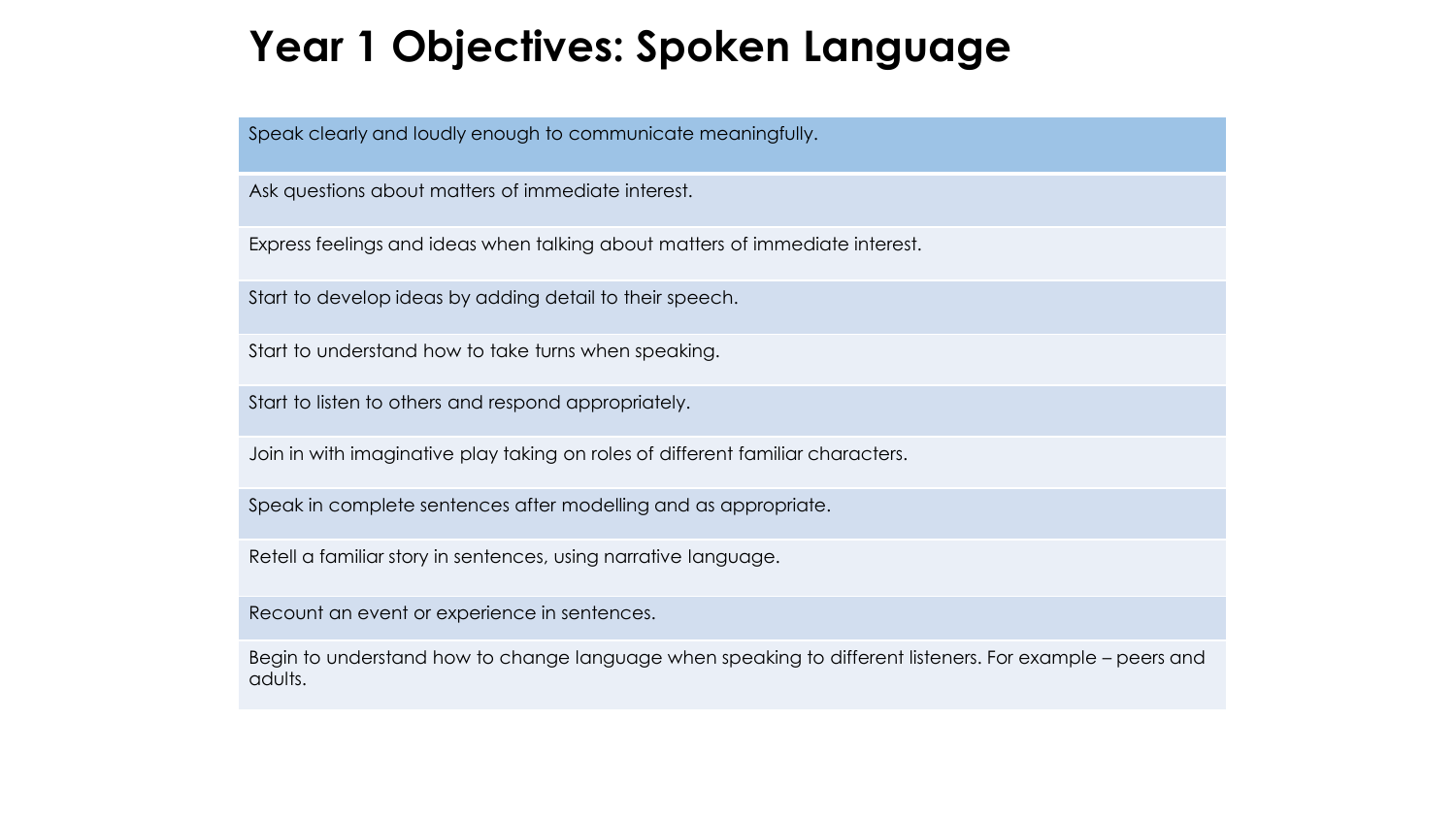## **Year 1 Objectives: Spoken Language**

Speak clearly and loudly enough to communicate meaningfully.

Ask questions about matters of immediate interest.

Express feelings and ideas when talking about matters of immediate interest.

Start to develop ideas by adding detail to their speech.

Start to understand how to take turns when speaking.

Start to listen to others and respond appropriately.

Join in with imaginative play taking on roles of different familiar characters.

Speak in complete sentences after modelling and as appropriate.

Retell a familiar story in sentences, using narrative language.

Recount an event or experience in sentences.

Begin to understand how to change language when speaking to different listeners. For example – peers and adults.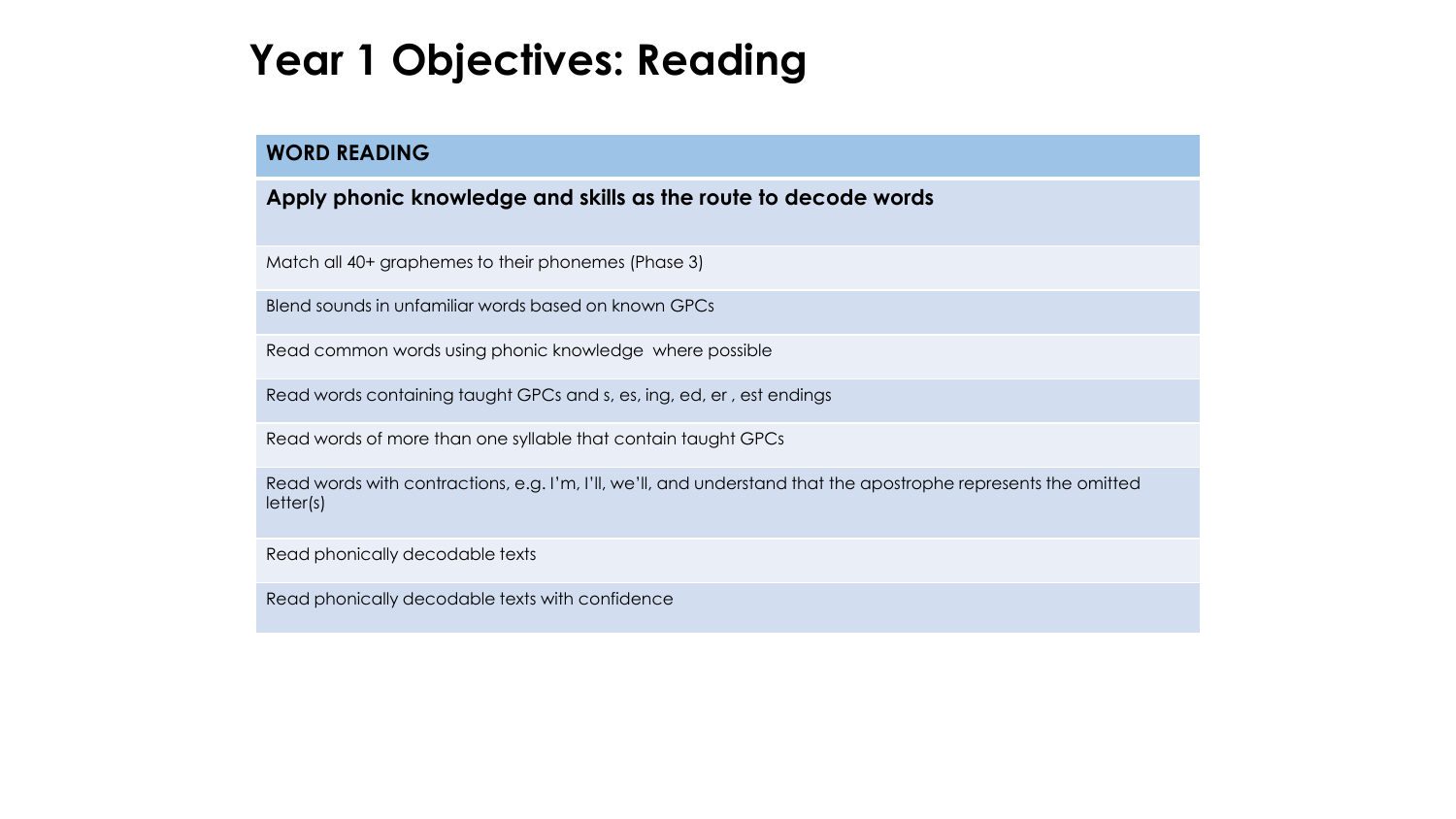### **Year 1 Objectives: Reading**

#### **WORD READING**

**Apply phonic knowledge and skills as the route to decode words**

Match all 40+ graphemes to their phonemes (Phase 3)

Blend sounds in unfamiliar words based on known GPCs

Read common words using phonic knowledge where possible

Read words containing taught GPCs and s, es, ing, ed, er , est endings

Read words of more than one syllable that contain taught GPCs

Read words with contractions, e.g. I'm, I'll, we'll, and understand that the apostrophe represents the omitted letter(s)

Read phonically decodable texts

Read phonically decodable texts with confidence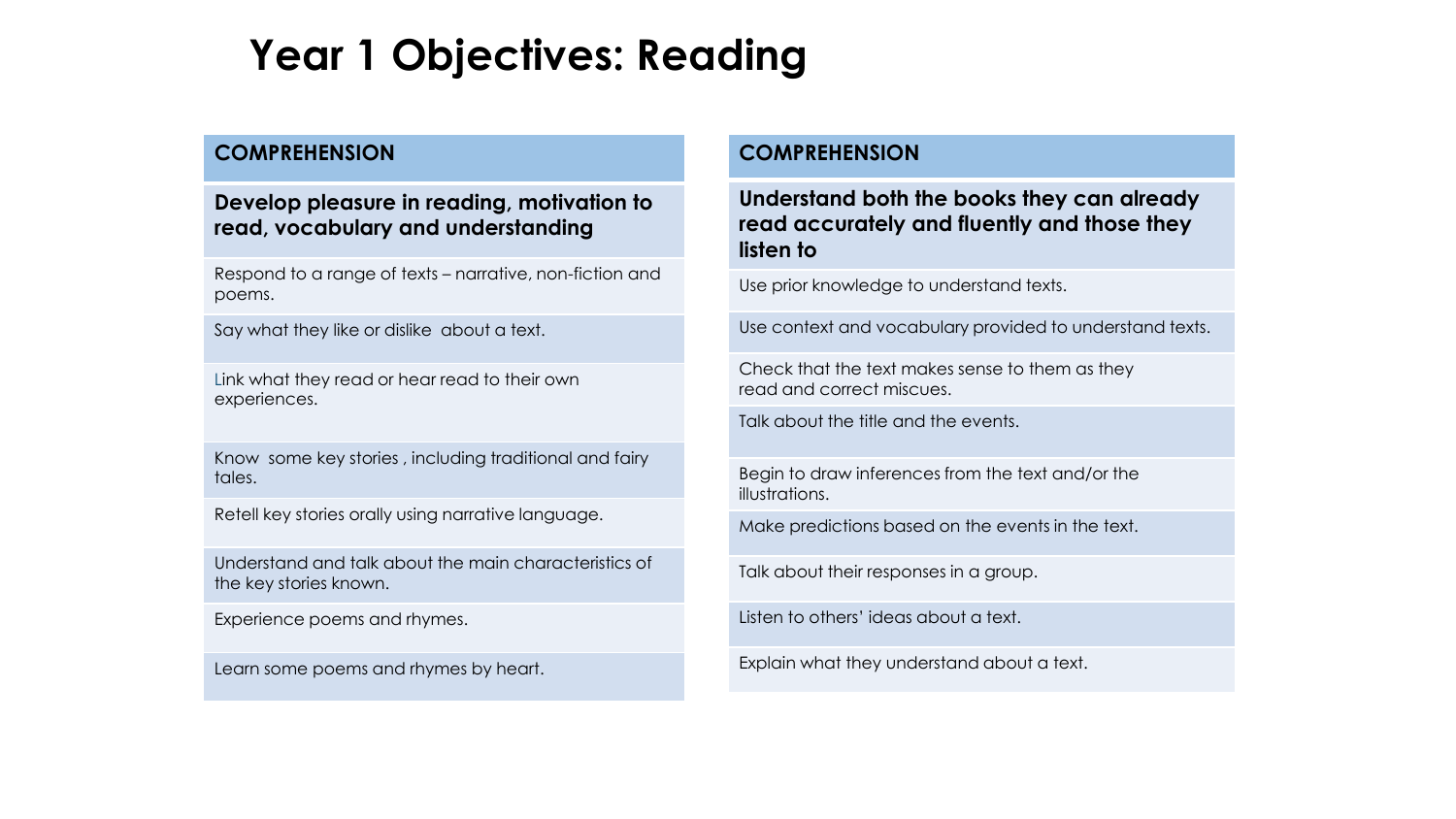## **Year 1 Objectives: Reading**

#### **COMPREHENSION**

#### **Develop pleasure in reading, motivation to read, vocabulary and understanding**

Respond to a range of texts – narrative, non-fiction and poems.

Say what they like or dislike about a text.

Link what they read or hear read to their own experiences.

Know some key stories , including traditional and fairy tales.

Retell key stories orally using narrative language.

Understand and talk about the main characteristics of the key stories known.

Experience poems and rhymes.

Learn some poems and rhymes by heart.

#### **COMPREHENSION**

**Understand both the books they can already read accurately and fluently and those they listen to**

Use prior knowledge to understand texts.

Use context and vocabulary provided to understand texts.

Check that the text makes sense to them as they read and correct miscues.

Talk about the title and the events.

Begin to draw inferences from the text and/or the illustrations.

Make predictions based on the events in the text.

Talk about their responses in a group.

Listen to others' ideas about a text.

Explain what they understand about a text.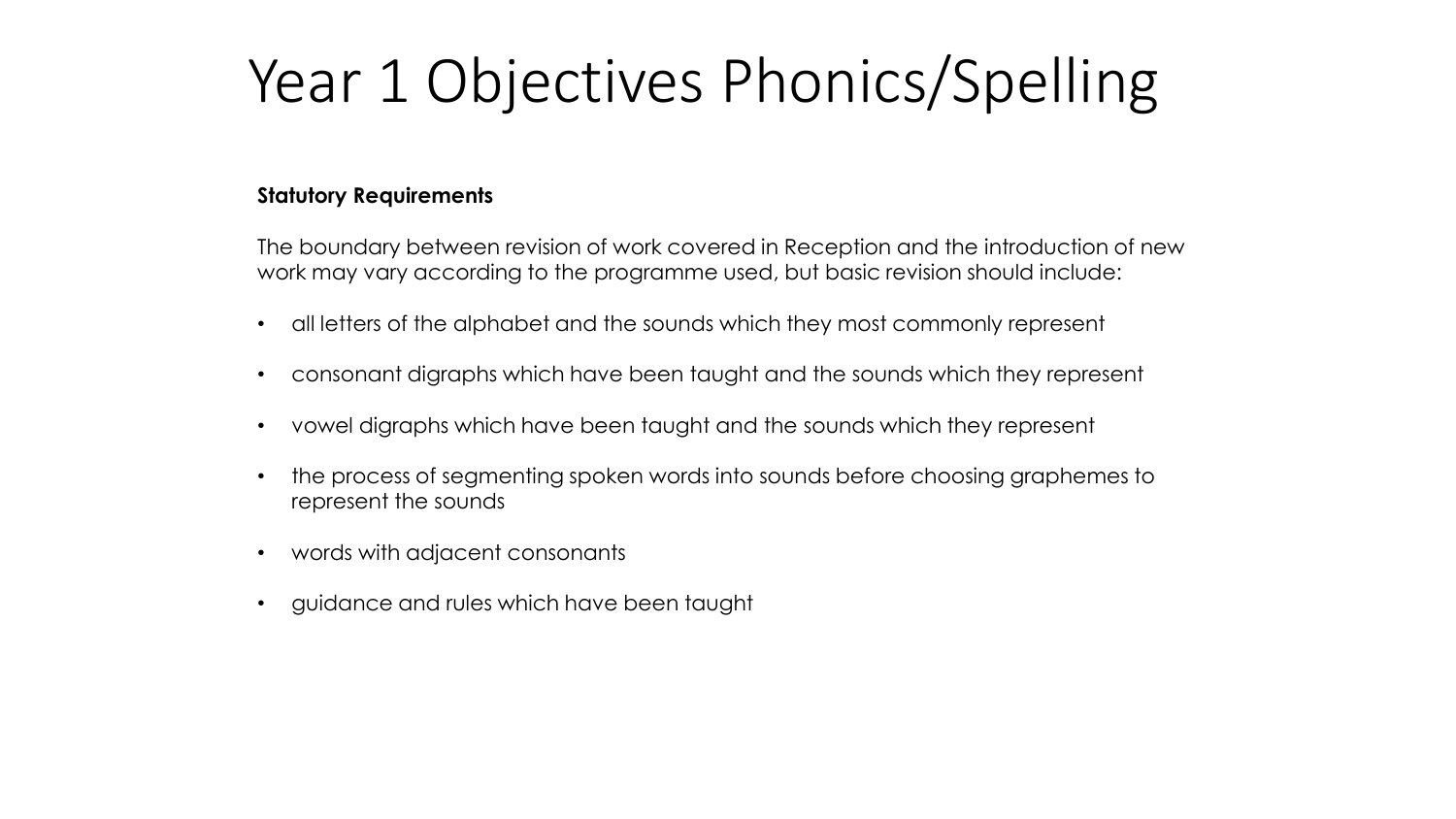## Year 1 Objectives Phonics/Spelling

#### **Statutory Requirements**

The boundary between revision of work covered in Reception and the introduction of new work may vary according to the programme used, but basic revision should include:

- all letters of the alphabet and the sounds which they most commonly represent
- consonant digraphs which have been taught and the sounds which they represent
- vowel digraphs which have been taught and the sounds which they represent
- the process of segmenting spoken words into sounds before choosing graphemes to represent the sounds
- words with adjacent consonants
- guidance and rules which have been taught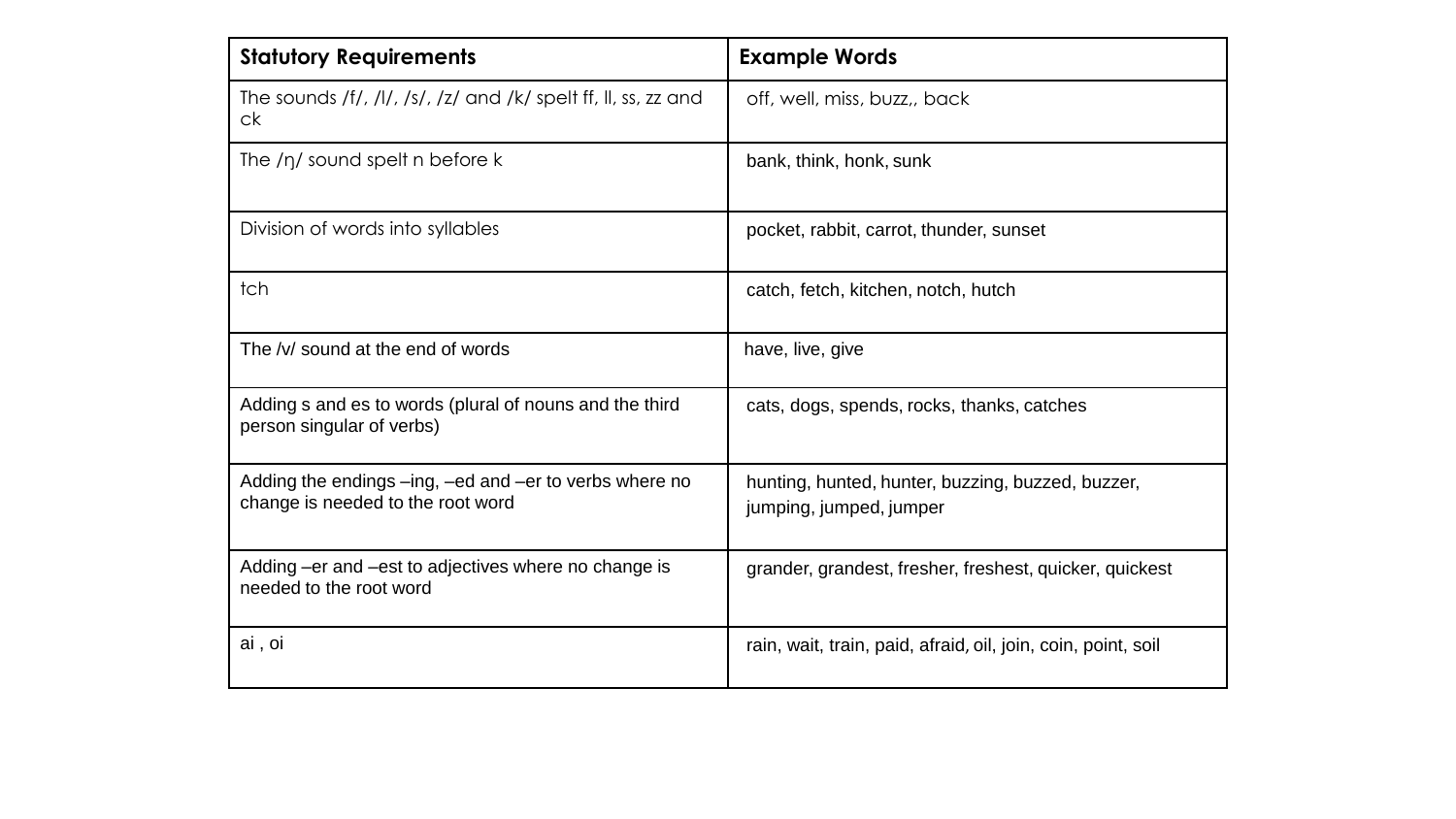| <b>Statutory Requirements</b>                                                               | <b>Example Words</b>                                                         |
|---------------------------------------------------------------------------------------------|------------------------------------------------------------------------------|
| The sounds /f/, /l/, /s/, /z/ and /k/ spelt ff, ll, ss, zz and<br>ck                        | off, well, miss, buzz,, back                                                 |
| The $/\eta$ sound spelt n before k                                                          | bank, think, honk, sunk                                                      |
| Division of words into syllables                                                            | pocket, rabbit, carrot, thunder, sunset                                      |
| tch                                                                                         | catch, fetch, kitchen, notch, hutch                                          |
| The /v/ sound at the end of words                                                           | have, live, give                                                             |
| Adding s and es to words (plural of nouns and the third<br>person singular of verbs)        | cats, dogs, spends, rocks, thanks, catches                                   |
| Adding the endings -ing, -ed and -er to verbs where no<br>change is needed to the root word | hunting, hunted, hunter, buzzing, buzzed, buzzer,<br>jumping, jumped, jumper |
| Adding -er and -est to adjectives where no change is<br>needed to the root word             | grander, grandest, fresher, freshest, quicker, quickest                      |
| ai, oi                                                                                      | rain, wait, train, paid, afraid, oil, join, coin, point, soil                |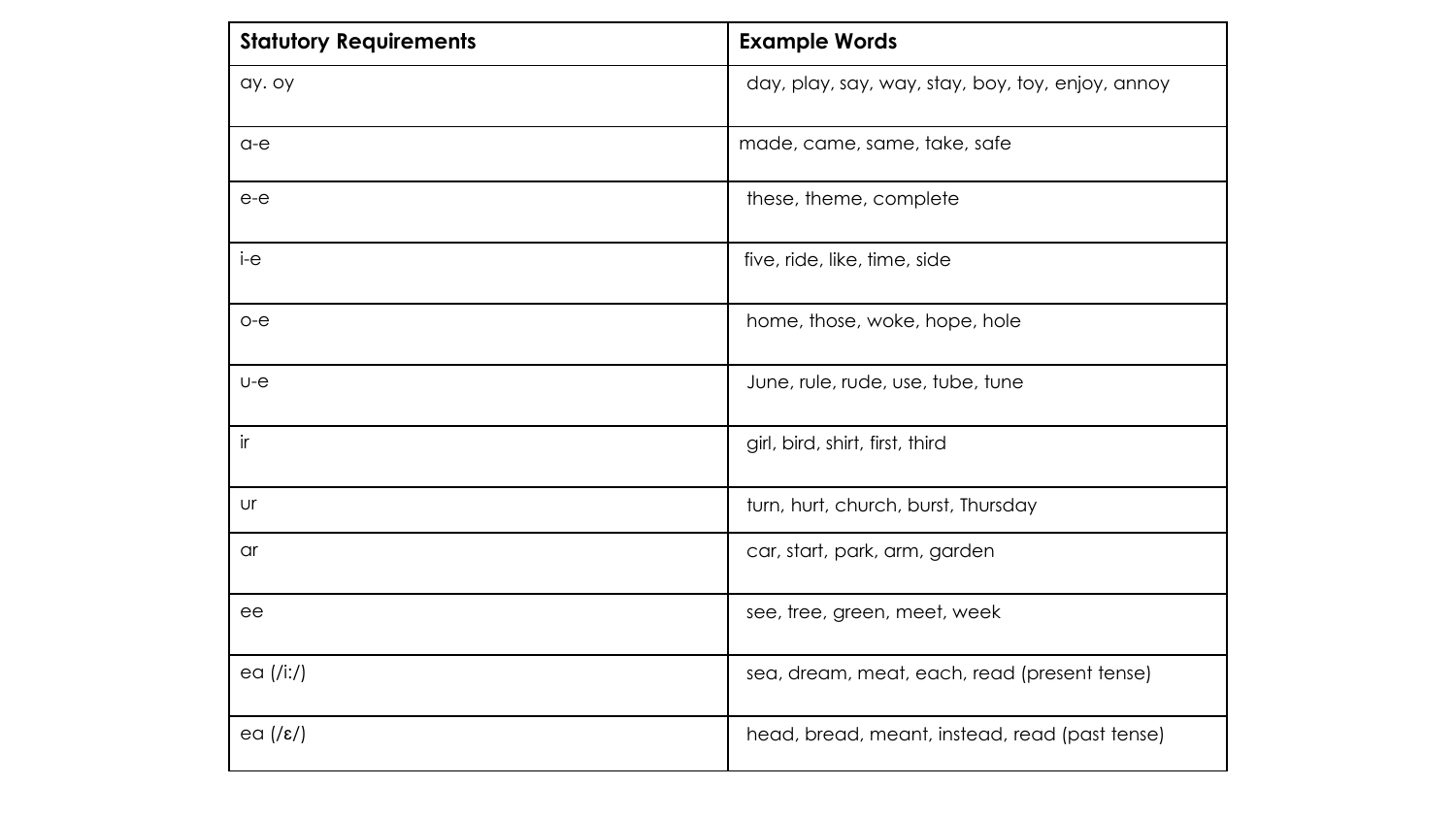| <b>Statutory Requirements</b> | <b>Example Words</b>                              |
|-------------------------------|---------------------------------------------------|
| ay. oy                        | day, play, say, way, stay, boy, toy, enjoy, annoy |
| $a-e$                         | made, came, same, take, safe                      |
| $e-e$                         | these, theme, complete                            |
| i-e                           | five, ride, like, time, side                      |
| $o-e$                         | home, those, woke, hope, hole                     |
| $U - e$                       | June, rule, rude, use, tube, tune                 |
| ir                            | girl, bird, shirt, first, third                   |
| Ur                            | turn, hurt, church, burst, Thursday               |
| $\alpha$ r                    | car, start, park, arm, garden                     |
| ee                            | see, tree, green, meet, week                      |
| ea $(Ii:')$                   | sea, dream, meat, each, read (present tense)      |
| ea $(\sqrt{\epsilon})$        | head, bread, meant, instead, read (past tense)    |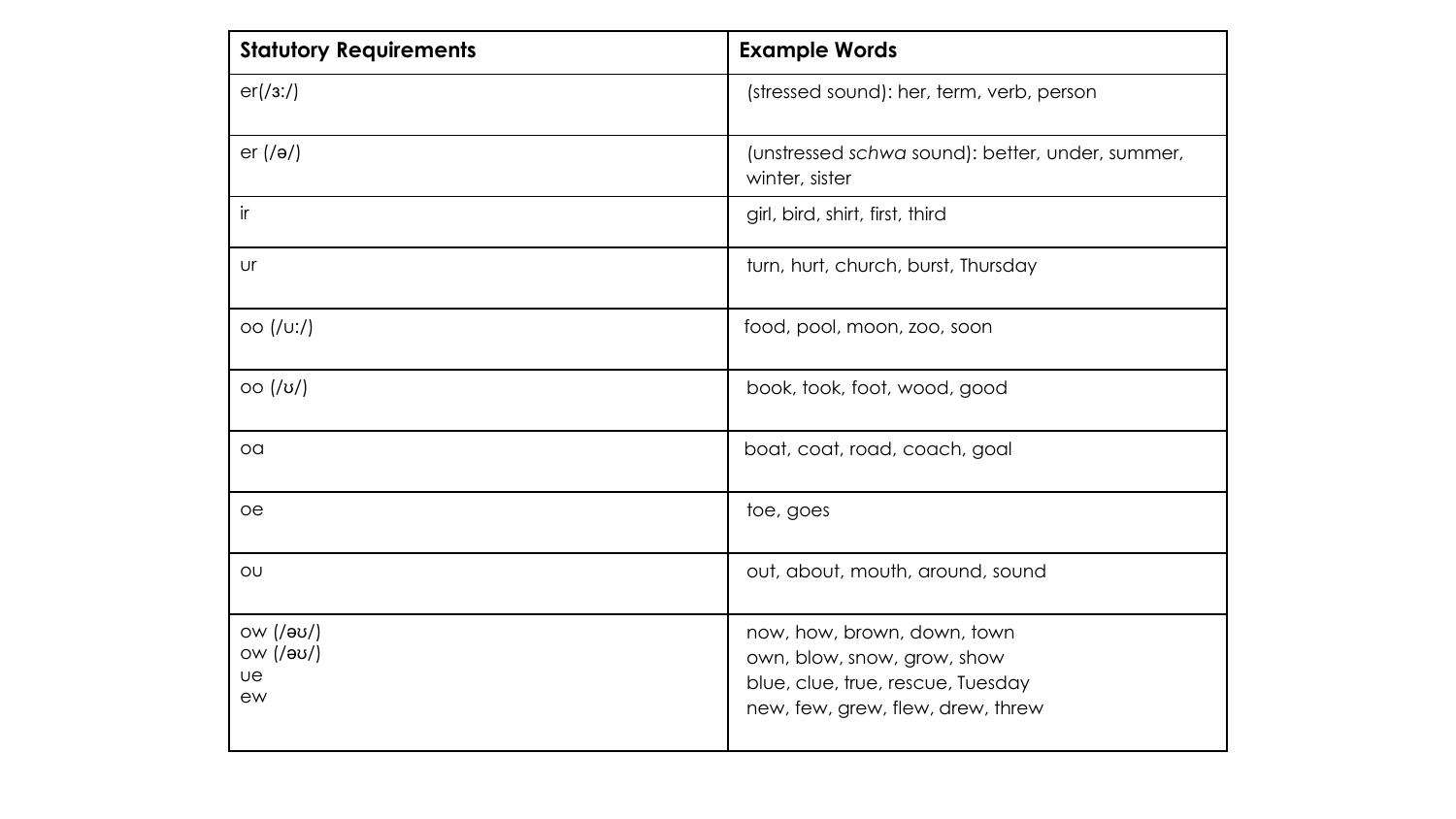| <b>Statutory Requirements</b>             | <b>Example Words</b>                                                                                                                 |  |
|-------------------------------------------|--------------------------------------------------------------------------------------------------------------------------------------|--|
| er(73:7)                                  | (stressed sound): her, term, verb, person                                                                                            |  |
| er $(1)$                                  | (unstressed schwa sound): better, under, summer,<br>winter, sister                                                                   |  |
| $\mathsf{ir}$                             | girl, bird, shirt, first, third                                                                                                      |  |
| Ur                                        | turn, hurt, church, burst, Thursday                                                                                                  |  |
| OO (UU')                                  | food, pool, moon, zoo, soon                                                                                                          |  |
| OO( U )                                   | book, took, foot, wood, good                                                                                                         |  |
| OQ                                        | boat, coat, road, coach, goal                                                                                                        |  |
| oe                                        | toe, goes                                                                                                                            |  |
| OU                                        | out, about, mouth, around, sound                                                                                                     |  |
| ow (/əʊ/)<br>οw (/əʊ/)<br><b>ue</b><br>ew | now, how, brown, down, town<br>own, blow, snow, grow, show<br>blue, clue, true, rescue, Tuesday<br>new, few, grew, flew, drew, threw |  |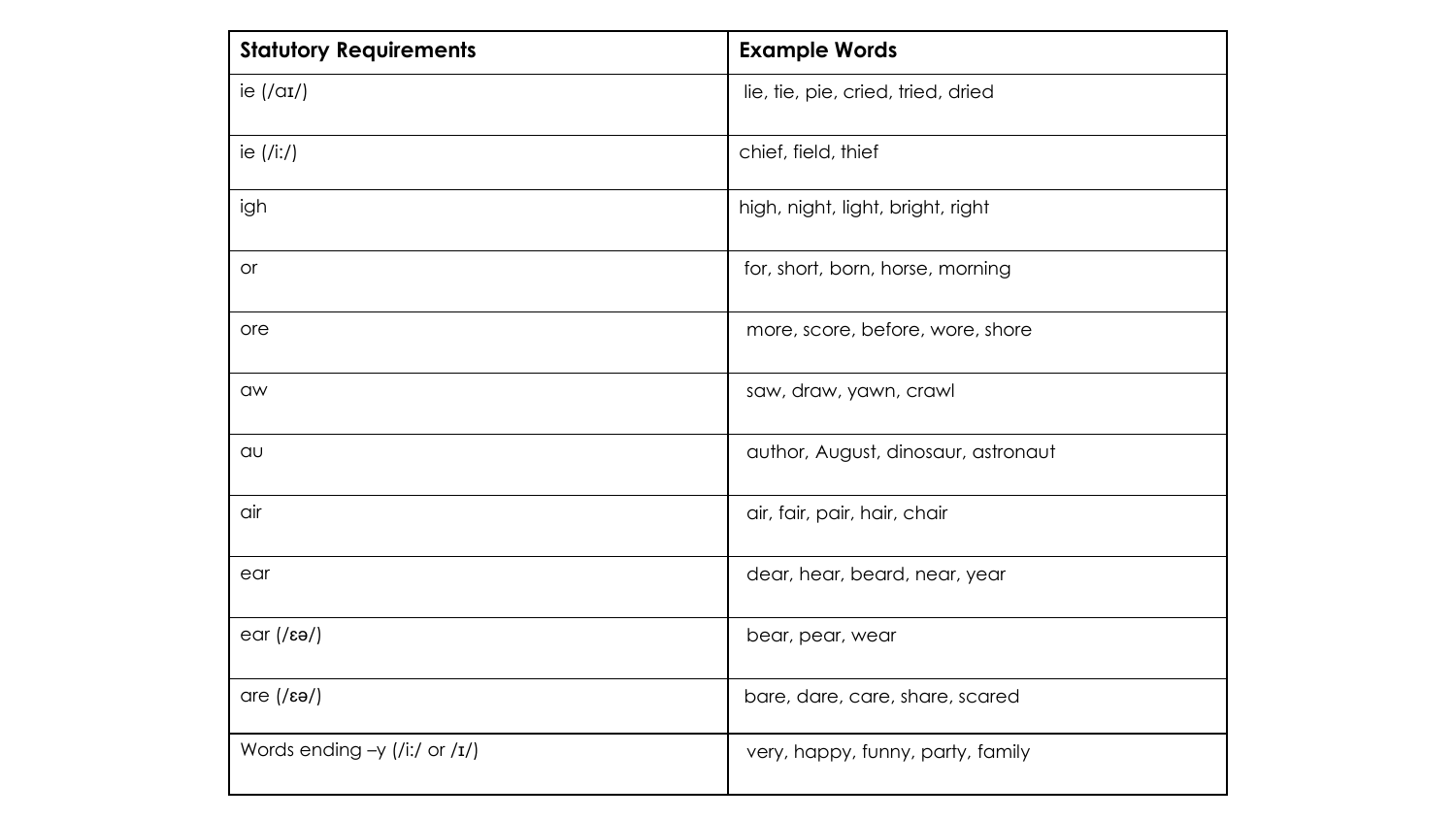| <b>Statutory Requirements</b>       | <b>Example Words</b>                |
|-------------------------------------|-------------------------------------|
| ie $(\alpha I)$                     | lie, tie, pie, cried, tried, dried  |
| ie $(/i:')$                         | chief, field, thief                 |
| igh                                 | high, night, light, bright, right   |
| <b>or</b>                           | for, short, born, horse, morning    |
| ore                                 | more, score, before, wore, shore    |
| aw                                  | saw, draw, yawn, crawl              |
| QU                                  | author, August, dinosaur, astronaut |
| air                                 | air, fair, pair, hair, chair        |
| ear                                 | dear, hear, beard, near, year       |
| $ear$ (/ $e$ ə/)                    | bear, pear, wear                    |
| $are$ (/ $\epsilon$ ə/)             | bare, dare, care, share, scared     |
| Words ending $-y$ (/i:/ or / $I$ /) | very, happy, funny, party, family   |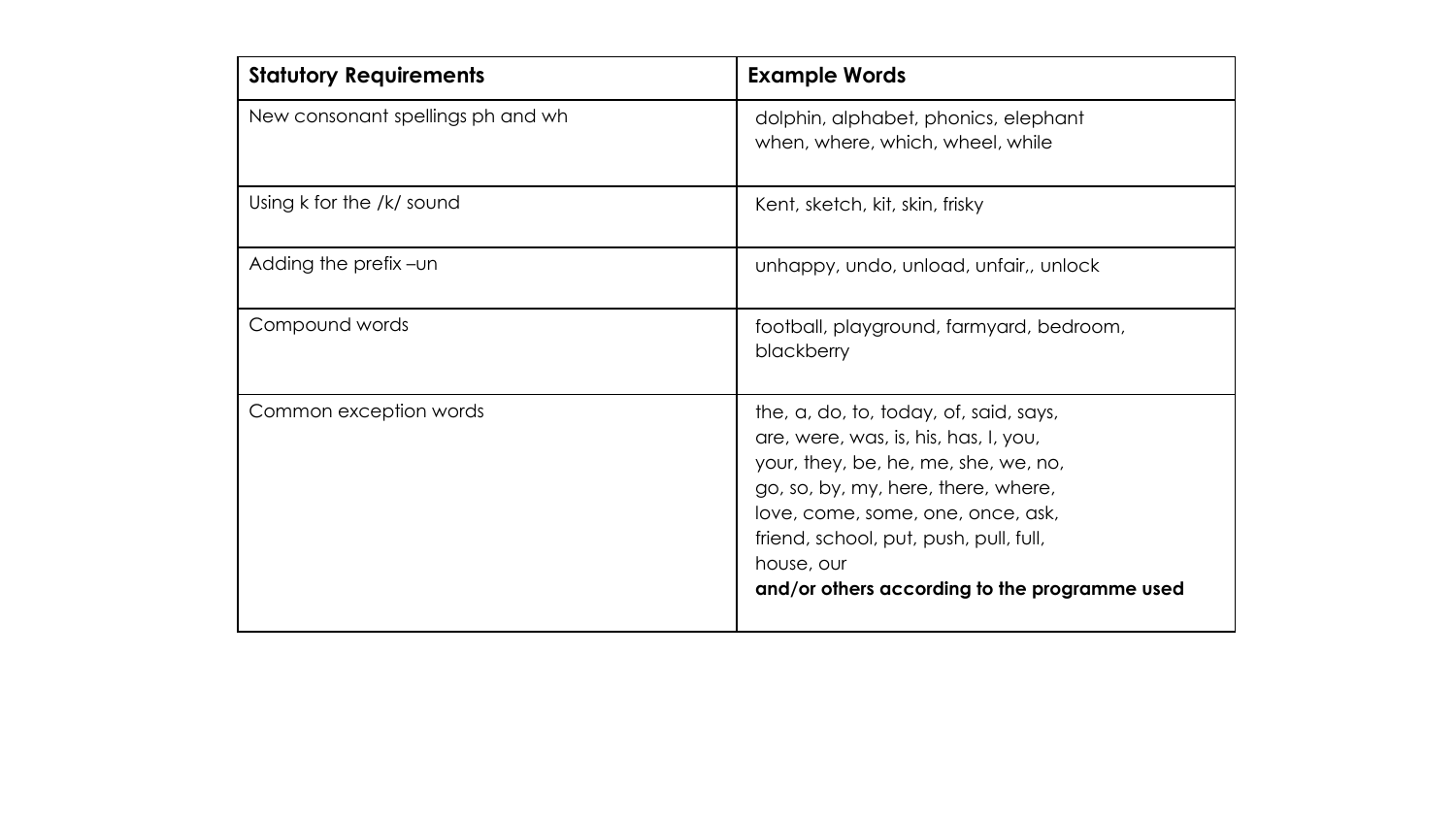| <b>Statutory Requirements</b>     | <b>Example Words</b>                                                                                                                                                                                                                                                                                         |
|-----------------------------------|--------------------------------------------------------------------------------------------------------------------------------------------------------------------------------------------------------------------------------------------------------------------------------------------------------------|
| New consonant spellings ph and wh | dolphin, alphabet, phonics, elephant<br>when, where, which, wheel, while                                                                                                                                                                                                                                     |
| Using k for the /k/ sound         | Kent, sketch, kit, skin, frisky                                                                                                                                                                                                                                                                              |
| Adding the prefix -un             | unhappy, undo, unload, unfair,, unlock                                                                                                                                                                                                                                                                       |
| Compound words                    | football, playground, farmyard, bedroom,<br>blackberry                                                                                                                                                                                                                                                       |
| Common exception words            | the, a, do, to, today, of, said, says,<br>are, were, was, is, his, has, I, you,<br>your, they, be, he, me, she, we, no,<br>go, so, by, my, here, there, where,<br>love, come, some, one, once, ask,<br>friend, school, put, push, pull, full,<br>house, our<br>and/or others according to the programme used |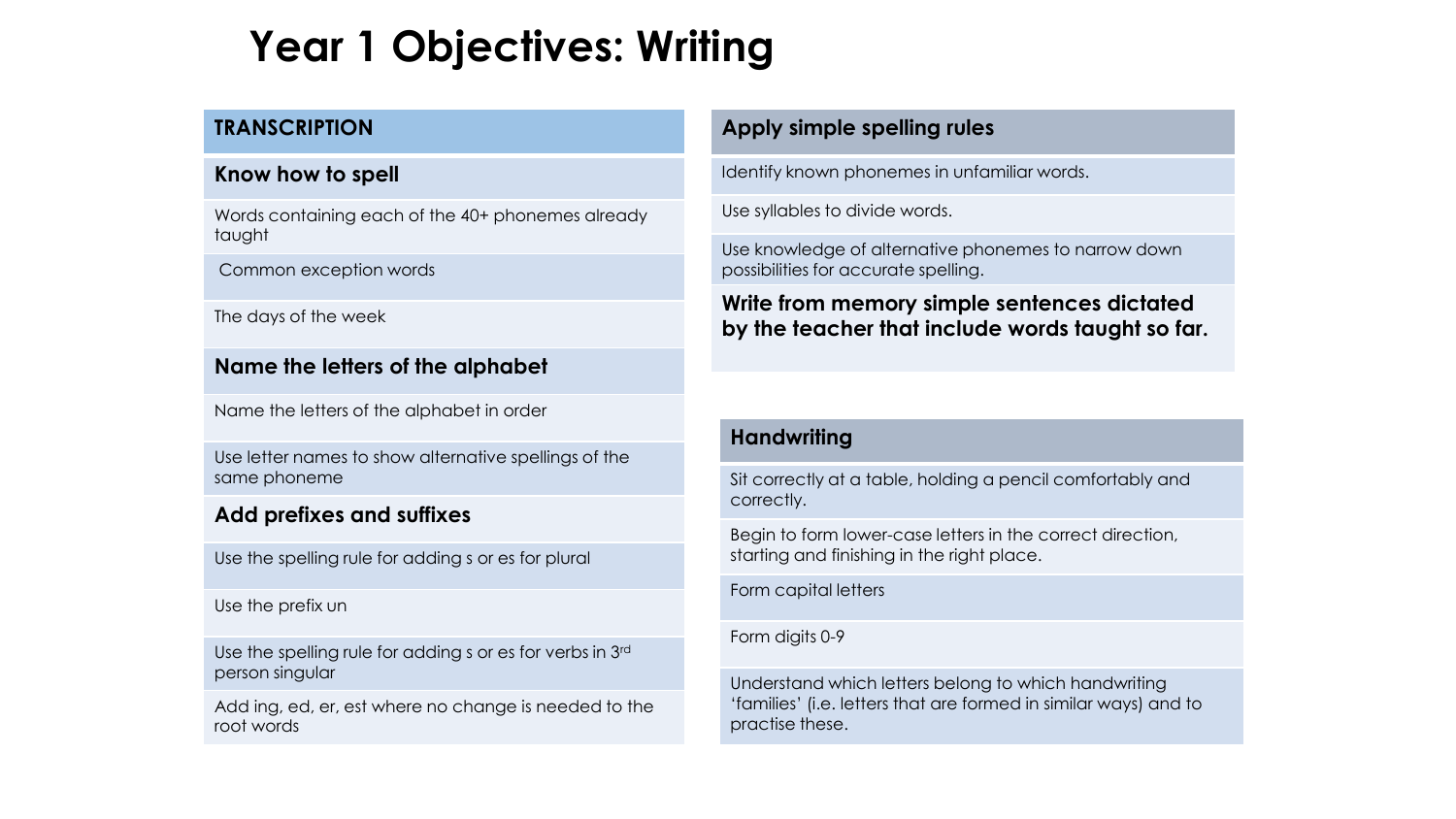## **Year 1 Objectives: Writing**

#### **TRANSCRIPTION**

#### **Know how to spell**

Words containing each of the 40+ phonemes already taught

Common exception words

The days of the week

#### **Name the letters of the alphabet**

Name the letters of the alphabet in order

Use letter names to show alternative spellings of the same phoneme

#### **Add prefixes and suffixes**

Use the spelling rule for adding s or es for plural

Use the prefix un

Use the spelling rule for adding s or es for verbs in 3rd person singular

Add ing, ed, er, est where no change is needed to the root words

#### **Apply simple spelling rules**

Identify known phonemes in unfamiliar words.

Use syllables to divide words.

Use knowledge of alternative phonemes to narrow down possibilities for accurate spelling.

**Write from memory simple sentences dictated by the teacher that include words taught so far.**

#### **Handwriting**

Sit correctly at a table, holding a pencil comfortably and correctly.

Begin to form lower-case letters in the correct direction, starting and finishing in the right place.

Form capital letters

#### Form digits 0-9

Understand which letters belong to which handwriting 'families' (i.e. letters that are formed in similar ways) and to practise these.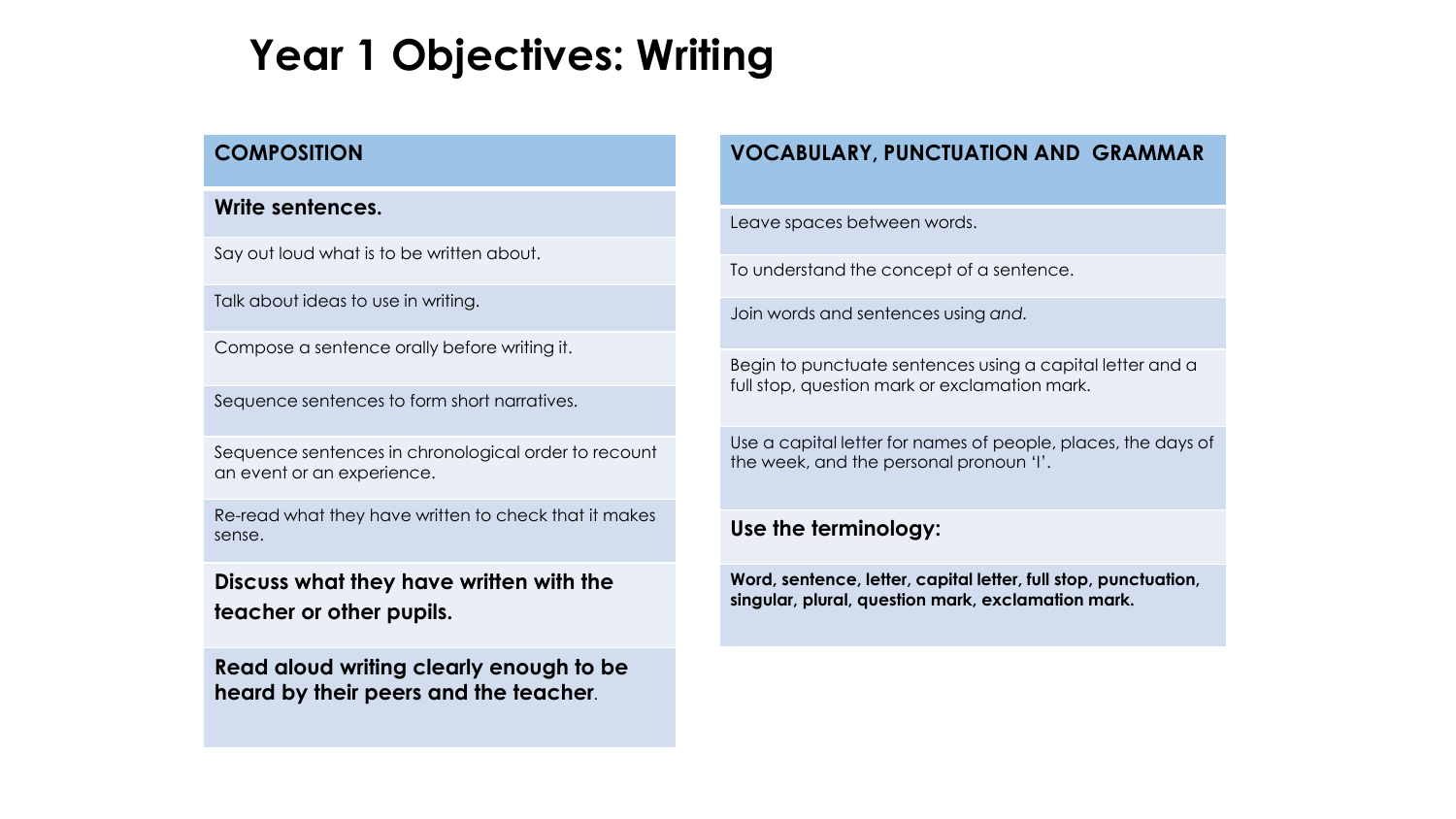## **Year 1 Objectives: Writing**

#### **COMPOSITION**

#### **Write sentences.**

Say out loud what is to be written about.

Talk about ideas to use in writing.

Compose a sentence orally before writing it.

Sequence sentences to form short narratives.

Sequence sentences in chronological order to recount an event or an experience.

Re-read what they have written to check that it makes sense.

**Discuss what they have written with the teacher or other pupils.**

**Read aloud writing clearly enough to be heard by their peers and the teacher**.

#### **VOCABULARY, PUNCTUATION AND GRAMMAR**

Leave spaces between words.

To understand the concept of a sentence.

Join words and sentences using *and.*

Begin to punctuate sentences using a capital letter and a full stop, question mark or exclamation mark.

Use a capital letter for names of people, places, the days of the week, and the personal pronoun 'I'.

#### **Use the terminology:**

**Word, sentence, letter, capital letter, full stop, punctuation, singular, plural, question mark, exclamation mark.**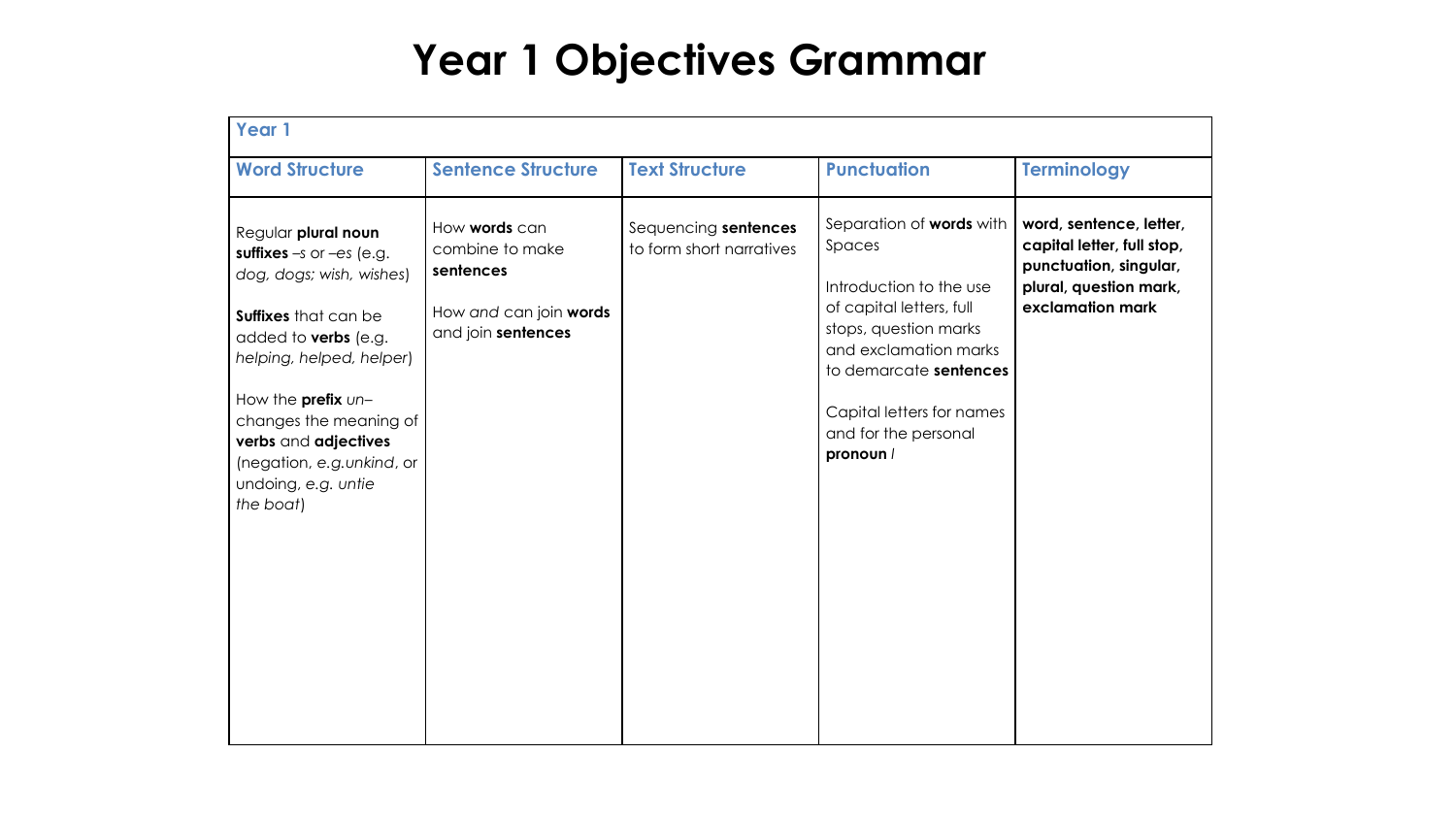## **Year 1 Objectives Grammar**

| Year 1                                                                                                                                                                                                                                                                                                      |                                                                                               |                                                  |                                                                                                                                                                                                                                         |                                                                                                                               |
|-------------------------------------------------------------------------------------------------------------------------------------------------------------------------------------------------------------------------------------------------------------------------------------------------------------|-----------------------------------------------------------------------------------------------|--------------------------------------------------|-----------------------------------------------------------------------------------------------------------------------------------------------------------------------------------------------------------------------------------------|-------------------------------------------------------------------------------------------------------------------------------|
| <b>Word Structure</b>                                                                                                                                                                                                                                                                                       | <b>Sentence Structure</b>                                                                     | <b>Text Structure</b>                            | <b>Punctuation</b>                                                                                                                                                                                                                      | <b>Terminology</b>                                                                                                            |
| Regular plural noun<br>suffixes $-s$ or $-es$ (e.g.<br>dog, dogs; wish, wishes)<br>Suffixes that can be<br>added to <b>verbs</b> (e.g.<br>helping, helped, helper)<br>How the prefix un-<br>changes the meaning of<br>verbs and adjectives<br>(negation, e.g.unkind, or<br>undoing, e.g. untie<br>the boat) | How words can<br>combine to make<br>sentences<br>How and can join words<br>and join sentences | Sequencing sentences<br>to form short narratives | Separation of words with<br>Spaces<br>Introduction to the use<br>of capital letters, full<br>stops, question marks<br>and exclamation marks<br>to demarcate sentences<br>Capital letters for names<br>and for the personal<br>pronoun / | word, sentence, letter,<br>capital letter, full stop,<br>punctuation, singular,<br>plural, question mark,<br>exclamation mark |